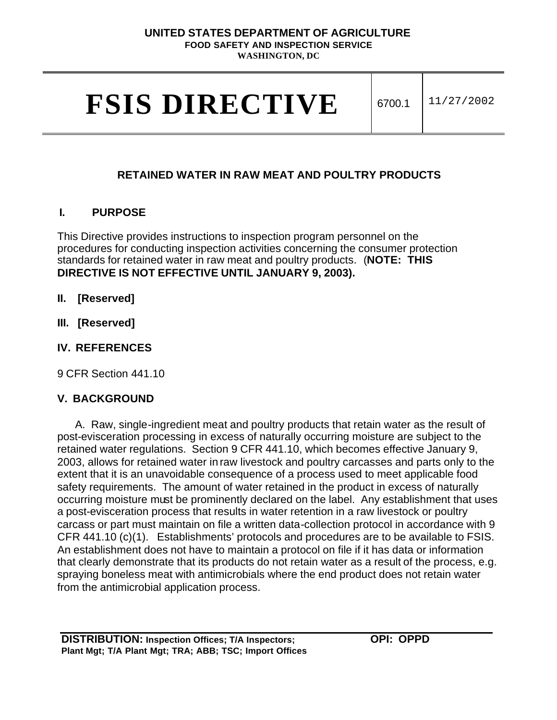#### **UNITED STATES DEPARTMENT OF AGRICULTURE FOOD SAFETY AND INSPECTION SERVICE**

**WASHINGTON, DC** 

# **FSIS DIRECTIVE** 6700.1 11/27/2002

# **RETAINED WATER IN RAW MEAT AND POULTRY PRODUCTS**

## **I. PURPOSE**

This Directive provides instructions to inspection program personnel on the procedures for conducting inspection activities concerning the consumer protection standards for retained water in raw meat and poultry products. (**NOTE: THIS DIRECTIVE IS NOT EFFECTIVE UNTIL JANUARY 9, 2003).** 

- **II. [Reserved]**
- **III. [Reserved]**
- **IV. REFERENCES**

9 CFR Section 441.10

# **V. BACKGROUND**

A. Raw, single-ingredient meat and poultry products that retain water as the result of post-evisceration processing in excess of naturally occurring moisture are subject to the retained water regulations. Section 9 CFR 441.10, which becomes effective January 9, 2003, allows for retained water in raw livestock and poultry carcasses and parts only to the extent that it is an unavoidable consequence of a process used to meet applicable food safety requirements. The amount of water retained in the product in excess of naturally occurring moisture must be prominently declared on the label. Any establishment that uses a post-evisceration process that results in water retention in a raw livestock or poultry carcass or part must maintain on file a written data-collection protocol in accordance with 9 CFR 441.10 (c)(1). Establishments' protocols and procedures are to be available to FSIS. An establishment does not have to maintain a protocol on file if it has data or information that clearly demonstrate that its products do not retain water as a result of the process, e.g. spraying boneless meat with antimicrobials where the end product does not retain water from the antimicrobial application process.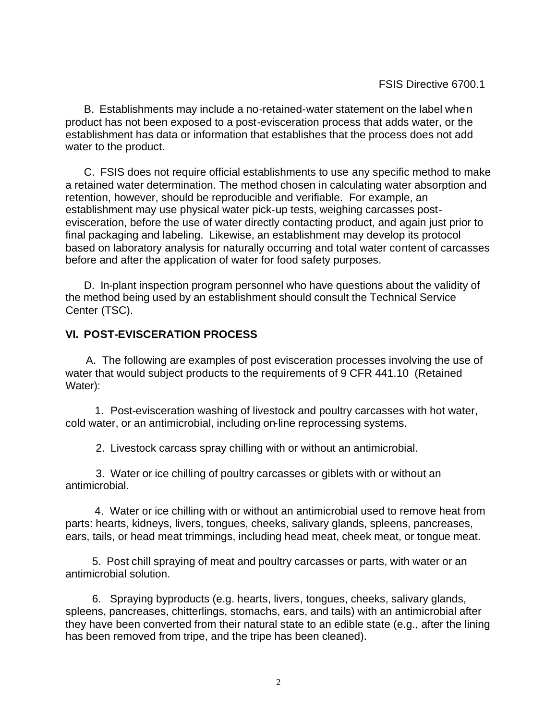B. Establishments may include a no-retained-water statement on the label when product has not been exposed to a post-evisceration process that adds water, or the establishment has data or information that establishes that the process does not add water to the product.

C. FSIS does not require official establishments to use any specific method to make a retained water determination. The method chosen in calculating water absorption and retention, however, should be reproducible and verifiable. For example, an establishment may use physical water pick-up tests, weighing carcasses postevisceration, before the use of water directly contacting product, and again just prior to final packaging and labeling. Likewise, an establishment may develop its protocol based on laboratory analysis for naturally occurring and total water content of carcasses before and after the application of water for food safety purposes.

D. In-plant inspection program personnel who have questions about the validity of the method being used by an establishment should consult the Technical Service Center (TSC).

## **VI. POST-EVISCERATION PROCESS**

A. The following are examples of post evisceration processes involving the use of water that would subject products to the requirements of 9 CFR 441.10 (Retained Water):

1. Post-evisceration washing of livestock and poultry carcasses with hot water, cold water, or an antimicrobial, including on-line reprocessing systems.

2. Livestock carcass spray chilling with or without an antimicrobial.

3. Water or ice chilling of poultry carcasses or giblets with or without an antimicrobial.

4. Water or ice chilling with or without an antimicrobial used to remove heat from parts: hearts, kidneys, livers, tongues, cheeks, salivary glands, spleens, pancreases, ears, tails, or head meat trimmings, including head meat, cheek meat, or tongue meat.

5. Post chill spraying of meat and poultry carcasses or parts, with water or an antimicrobial solution.

6. Spraying byproducts (e.g. hearts, livers, tongues, cheeks, salivary glands, spleens, pancreases, chitterlings, stomachs, ears, and tails) with an antimicrobial after they have been converted from their natural state to an edible state (e.g., after the lining has been removed from tripe, and the tripe has been cleaned).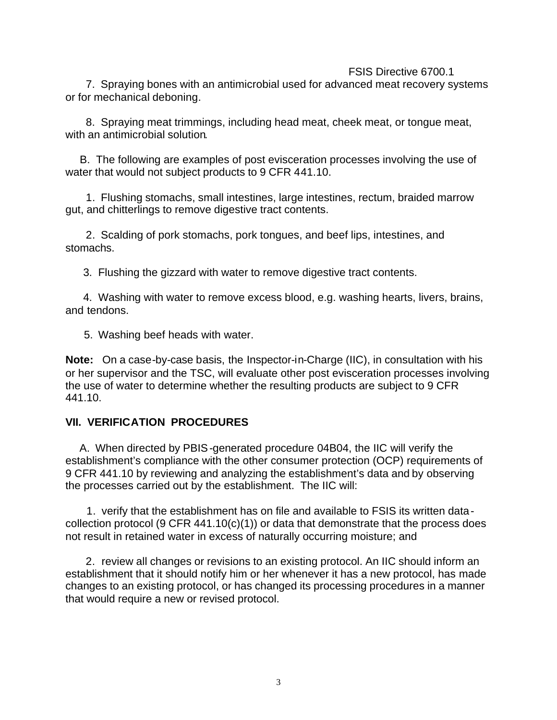#### FSIS Directive 6700.1

7. Spraying bones with an antimicrobial used for advanced meat recovery systems or for mechanical deboning.

8. Spraying meat trimmings, including head meat, cheek meat, or tongue meat, with an antimicrobial solution.

B. The following are examples of post evisceration processes involving the use of water that would not subject products to 9 CFR 441.10.

1. Flushing stomachs, small intestines, large intestines, rectum, braided marrow gut, and chitterlings to remove digestive tract contents.

2. Scalding of pork stomachs, pork tongues, and beef lips, intestines, and stomachs.

3. Flushing the gizzard with water to remove digestive tract contents.

4. Washing with water to remove excess blood, e.g. washing hearts, livers, brains, and tendons.

5. Washing beef heads with water.

**Note:** On a case-by-case basis, the Inspector-in-Charge (IIC), in consultation with his or her supervisor and the TSC, will evaluate other post evisceration processes involving the use of water to determine whether the resulting products are subject to 9 CFR 441.10.

#### **VII. VERIFICATION PROCEDURES**

A. When directed by PBIS-generated procedure 04B04, the IIC will verify the establishment's compliance with the other consumer protection (OCP) requirements of 9 CFR 441.10 by reviewing and analyzing the establishment's data and by observing the processes carried out by the establishment. The IIC will:

1. verify that the establishment has on file and available to FSIS its written datacollection protocol (9 CFR  $441.10(c)(1)$ ) or data that demonstrate that the process does not result in retained water in excess of naturally occurring moisture; and

2. review all changes or revisions to an existing protocol. An IIC should inform an establishment that it should notify him or her whenever it has a new protocol, has made changes to an existing protocol, or has changed its processing procedures in a manner that would require a new or revised protocol.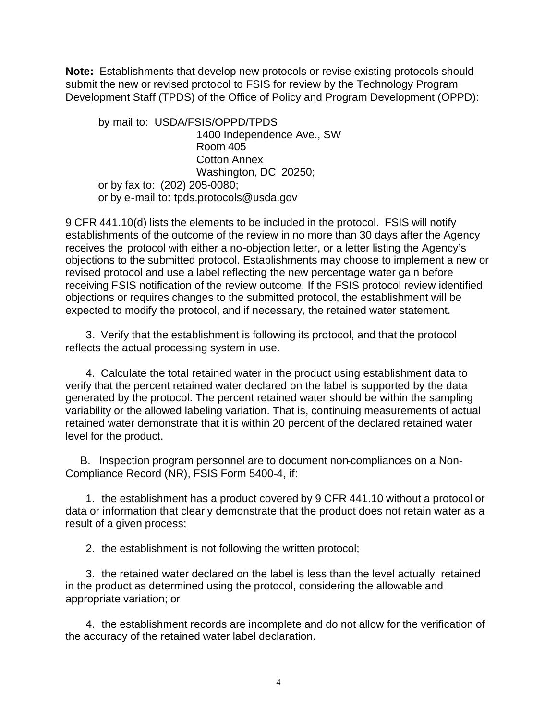**Note:** Establishments that develop new protocols or revise existing protocols should submit the new or revised protocol to FSIS for review by the Technology Program Development Staff (TPDS) of the Office of Policy and Program Development (OPPD):

by mail to: USDA/FSIS/OPPD/TPDS 1400 Independence Ave., SW Room 405 Cotton Annex Washington, DC 20250; or by fax to: (202) 205-0080; or by e-mail to: tpds.protocols@usda.gov

9 CFR 441.10(d) lists the elements to be included in the protocol. FSIS will notify establishments of the outcome of the review in no more than 30 days after the Agency receives the protocol with either a no-objection letter, or a letter listing the Agency's objections to the submitted protocol. Establishments may choose to implement a new or revised protocol and use a label reflecting the new percentage water gain before receiving FSIS notification of the review outcome. If the FSIS protocol review identified objections or requires changes to the submitted protocol, the establishment will be expected to modify the protocol, and if necessary, the retained water statement.

3. Verify that the establishment is following its protocol, and that the protocol reflects the actual processing system in use.

4. Calculate the total retained water in the product using establishment data to verify that the percent retained water declared on the label is supported by the data generated by the protocol. The percent retained water should be within the sampling variability or the allowed labeling variation. That is, continuing measurements of actual retained water demonstrate that it is within 20 percent of the declared retained water level for the product.

B. Inspection program personnel are to document non-compliances on a Non-Compliance Record (NR), FSIS Form 5400-4, if:

1. the establishment has a product covered by 9 CFR 441.10 without a protocol or data or information that clearly demonstrate that the product does not retain water as a result of a given process;

2. the establishment is not following the written protocol;

3. the retained water declared on the label is less than the level actually retained in the product as determined using the protocol, considering the allowable and appropriate variation; or

4. the establishment records are incomplete and do not allow for the verification of the accuracy of the retained water label declaration.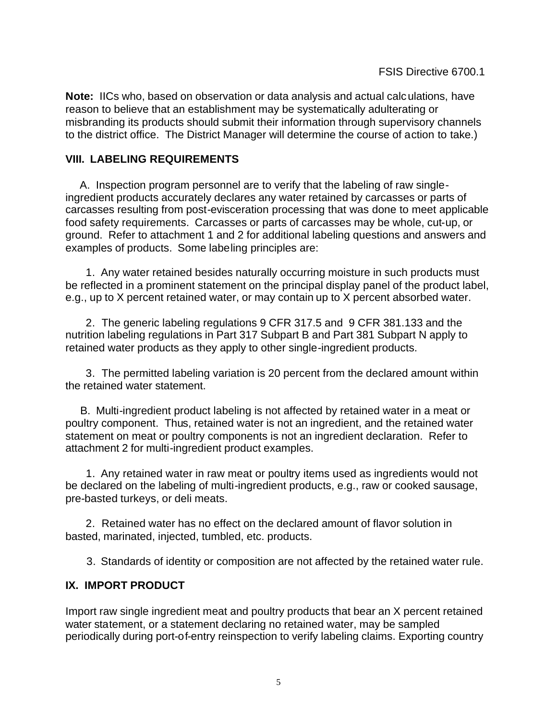**Note:** IICs who, based on observation or data analysis and actual calculations, have reason to believe that an establishment may be systematically adulterating or misbranding its products should submit their information through supervisory channels to the district office. The District Manager will determine the course of action to take.)

#### **VIII. LABELING REQUIREMENTS**

A. Inspection program personnel are to verify that the labeling of raw singleingredient products accurately declares any water retained by carcasses or parts of carcasses resulting from post-evisceration processing that was done to meet applicable food safety requirements. Carcasses or parts of carcasses may be whole, cut-up, or ground. Refer to attachment 1 and 2 for additional labeling questions and answers and examples of products. Some labeling principles are:

1. Any water retained besides naturally occurring moisture in such products must be reflected in a prominent statement on the principal display panel of the product label, e.g., up to X percent retained water, or may contain up to X percent absorbed water.

2. The generic labeling regulations 9 CFR 317.5 and 9 CFR 381.133 and the nutrition labeling regulations in Part 317 Subpart B and Part 381 Subpart N apply to retained water products as they apply to other single-ingredient products.

3. The permitted labeling variation is 20 percent from the declared amount within the retained water statement.

B. Multi-ingredient product labeling is not affected by retained water in a meat or poultry component. Thus, retained water is not an ingredient, and the retained water statement on meat or poultry components is not an ingredient declaration. Refer to attachment 2 for multi-ingredient product examples.

1. Any retained water in raw meat or poultry items used as ingredients would not be declared on the labeling of multi-ingredient products, e.g., raw or cooked sausage, pre-basted turkeys, or deli meats.

2. Retained water has no effect on the declared amount of flavor solution in basted, marinated, injected, tumbled, etc. products.

3. Standards of identity or composition are not affected by the retained water rule.

## **IX. IMPORT PRODUCT**

Import raw single ingredient meat and poultry products that bear an X percent retained water statement, or a statement declaring no retained water, may be sampled periodically during port-of-entry reinspection to verify labeling claims. Exporting country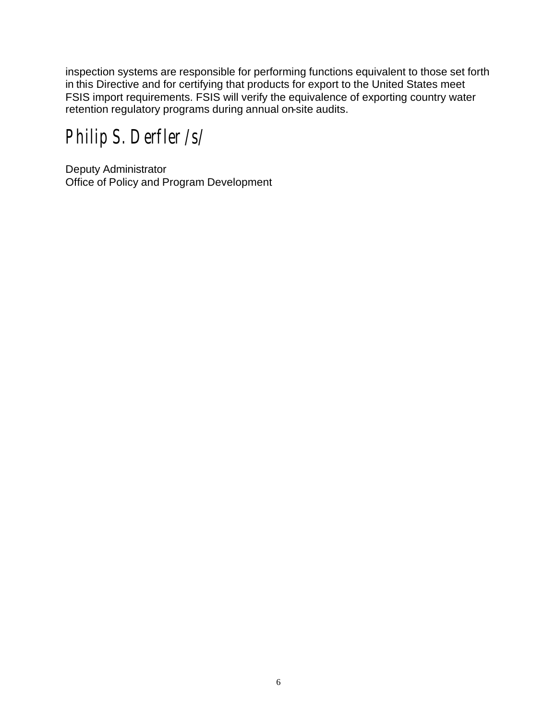inspection systems are responsible for performing functions equivalent to those set forth in this Directive and for certifying that products for export to the United States meet FSIS import requirements. FSIS will verify the equivalence of exporting country water retention regulatory programs during annual on-site audits.

*Philip S. Derfler /s/* 

Deputy Administrator Office of Policy and Program Development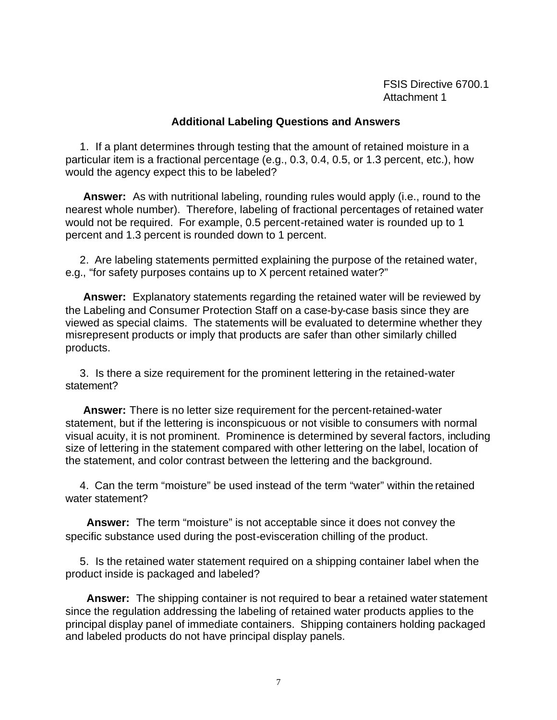FSIS Directive 6700.1 Attachment 1

#### **Additional Labeling Questions and Answers**

1. If a plant determines through testing that the amount of retained moisture in a particular item is a fractional percentage (e.g., 0.3, 0.4, 0.5, or 1.3 percent, etc.), how would the agency expect this to be labeled?

**Answer:** As with nutritional labeling, rounding rules would apply (i.e., round to the nearest whole number). Therefore, labeling of fractional percentages of retained water would not be required. For example, 0.5 percent-retained water is rounded up to 1 percent and 1.3 percent is rounded down to 1 percent.

2. Are labeling statements permitted explaining the purpose of the retained water, e.g., "for safety purposes contains up to X percent retained water?"

**Answer:** Explanatory statements regarding the retained water will be reviewed by the Labeling and Consumer Protection Staff on a case-by-case basis since they are viewed as special claims. The statements will be evaluated to determine whether they misrepresent products or imply that products are safer than other similarly chilled products.

3. Is there a size requirement for the prominent lettering in the retained-water statement?

**Answer:** There is no letter size requirement for the percent-retained-water statement, but if the lettering is inconspicuous or not visible to consumers with normal visual acuity, it is not prominent. Prominence is determined by several factors, including size of lettering in the statement compared with other lettering on the label, location of the statement, and color contrast between the lettering and the background.

4. Can the term "moisture" be used instead of the term "water" within the retained water statement?

**Answer:** The term "moisture" is not acceptable since it does not convey the specific substance used during the post-evisceration chilling of the product.

5. Is the retained water statement required on a shipping container label when the product inside is packaged and labeled?

**Answer:** The shipping container is not required to bear a retained water statement since the regulation addressing the labeling of retained water products applies to the principal display panel of immediate containers. Shipping containers holding packaged and labeled products do not have principal display panels.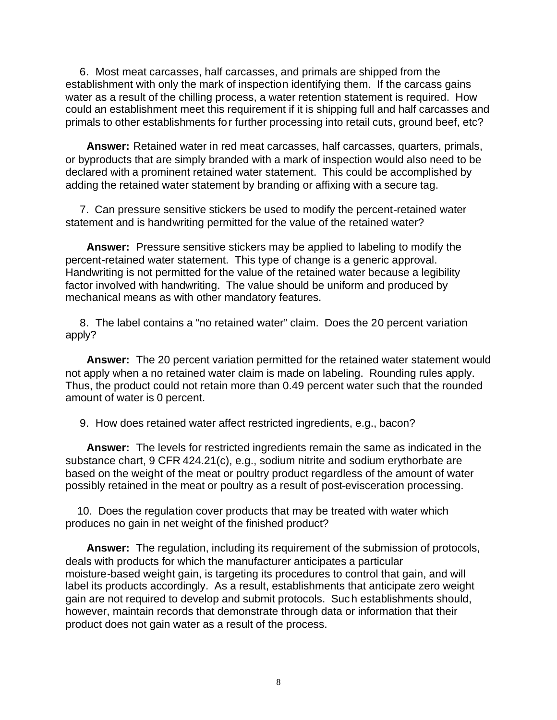6. Most meat carcasses, half carcasses, and primals are shipped from the establishment with only the mark of inspection identifying them. If the carcass gains water as a result of the chilling process, a water retention statement is required. How could an establishment meet this requirement if it is shipping full and half carcasses and primals to other establishments for further processing into retail cuts, ground beef, etc?

**Answer:** Retained water in red meat carcasses, half carcasses, quarters, primals, or byproducts that are simply branded with a mark of inspection would also need to be declared with a prominent retained water statement. This could be accomplished by adding the retained water statement by branding or affixing with a secure tag.

7. Can pressure sensitive stickers be used to modify the percent-retained water statement and is handwriting permitted for the value of the retained water?

**Answer:** Pressure sensitive stickers may be applied to labeling to modify the percent-retained water statement. This type of change is a generic approval. Handwriting is not permitted for the value of the retained water because a legibility factor involved with handwriting. The value should be uniform and produced by mechanical means as with other mandatory features.

8. The label contains a "no retained water" claim. Does the 20 percent variation apply?

**Answer:** The 20 percent variation permitted for the retained water statement would not apply when a no retained water claim is made on labeling. Rounding rules apply. Thus, the product could not retain more than 0.49 percent water such that the rounded amount of water is 0 percent.

9. How does retained water affect restricted ingredients, e.g., bacon?

**Answer:** The levels for restricted ingredients remain the same as indicated in the substance chart, 9 CFR 424.21(c), e.g., sodium nitrite and sodium erythorbate are based on the weight of the meat or poultry product regardless of the amount of water possibly retained in the meat or poultry as a result of post-evisceration processing.

10. Does the regulation cover products that may be treated with water which produces no gain in net weight of the finished product?

**Answer:** The regulation, including its requirement of the submission of protocols, deals with products for which the manufacturer anticipates a particular moisture-based weight gain, is targeting its procedures to control that gain, and will label its products accordingly. As a result, establishments that anticipate zero weight gain are not required to develop and submit protocols. Such establishments should, however, maintain records that demonstrate through data or information that their product does not gain water as a result of the process.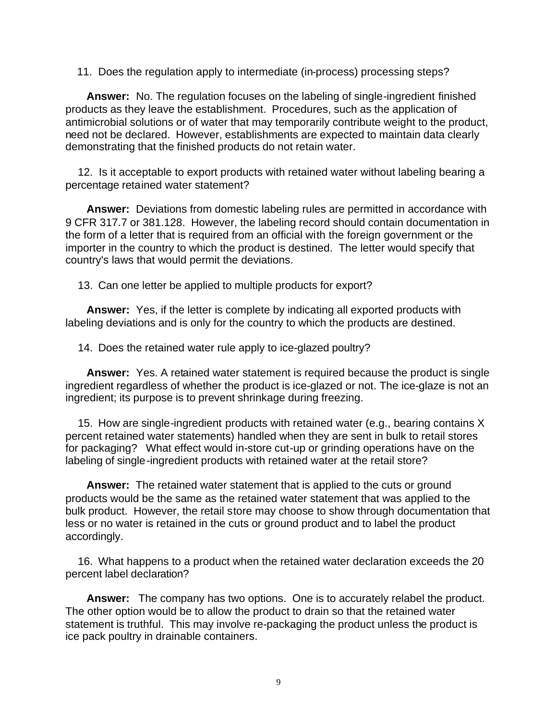11. Does the regulation apply to intermediate (in-process) processing steps?

**Answer:** No. The regulation focuses on the labeling of single-ingredient finished products as they leave the establishment. Procedures, such as the application of antimicrobial solutions or of water that may temporarily contribute weight to the product, need not be declared. However, establishments are expected to maintain data clearly demonstrating that the finished products do not retain water.

12. Is it acceptable to export products with retained water without labeling bearing a percentage retained water statement?

**Answer:** Deviations from domestic labeling rules are permitted in accordance with 9 CFR 317.7 or 381.128. However, the labeling record should contain documentation in the form of a letter that is required from an official with the foreign government or the importer in the country to which the product is destined. The letter would specify that country's laws that would permit the deviations.

13. Can one letter be applied to multiple products for export?

**Answer:** Yes, if the letter is complete by indicating all exported products with labeling deviations and is only for the country to which the products are destined.

14. Does the retained water rule apply to ice-glazed poultry?

**Answer:** Yes. A retained water statement is required because the product is single ingredient regardless of whether the product is ice-glazed or not. The ice-glaze is not an ingredient; its purpose is to prevent shrinkage during freezing.

15. How are single-ingredient products with retained water (e.g., bearing contains X percent retained water statements) handled when they are sent in bulk to retail stores for packaging? What effect would in-store cut-up or grinding operations have on the labeling of single-ingredient products with retained water at the retail store?

**Answer:** The retained water statement that is applied to the cuts or ground products would be the same as the retained water statement that was applied to the bulk product. However, the retail store may choose to show through documentation that less or no water is retained in the cuts or ground product and to label the product accordingly.

16. What happens to a product when the retained water declaration exceeds the 20 percent label declaration?

**Answer:** The company has two options. One is to accurately relabel the product. The other option would be to allow the product to drain so that the retained water statement is truthful. This may involve re-packaging the product unless the product is ice pack poultry in drainable containers.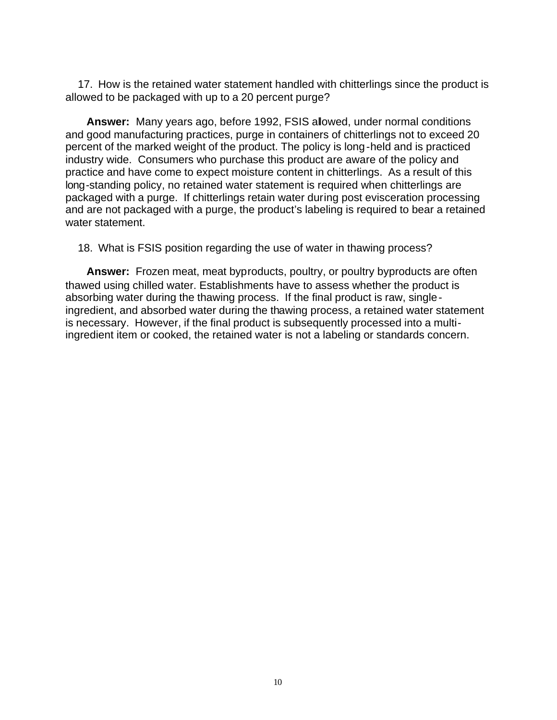17. How is the retained water statement handled with chitterlings since the product is allowed to be packaged with up to a 20 percent purge?

**Answer:** Many years ago, before 1992, FSIS allowed, under normal conditions and good manufacturing practices, purge in containers of chitterlings not to exceed 20 percent of the marked weight of the product. The policy is long-held and is practiced industry wide. Consumers who purchase this product are aware of the policy and practice and have come to expect moisture content in chitterlings. As a result of this long-standing policy, no retained water statement is required when chitterlings are packaged with a purge. If chitterlings retain water during post evisceration processing and are not packaged with a purge, the product's labeling is required to bear a retained water statement.

18. What is FSIS position regarding the use of water in thawing process?

**Answer:** Frozen meat, meat byproducts, poultry, or poultry byproducts are often thawed using chilled water. Establishments have to assess whether the product is absorbing water during the thawing process. If the final product is raw, singleingredient, and absorbed water during the thawing process, a retained water statement is necessary. However, if the final product is subsequently processed into a multiingredient item or cooked, the retained water is not a labeling or standards concern.